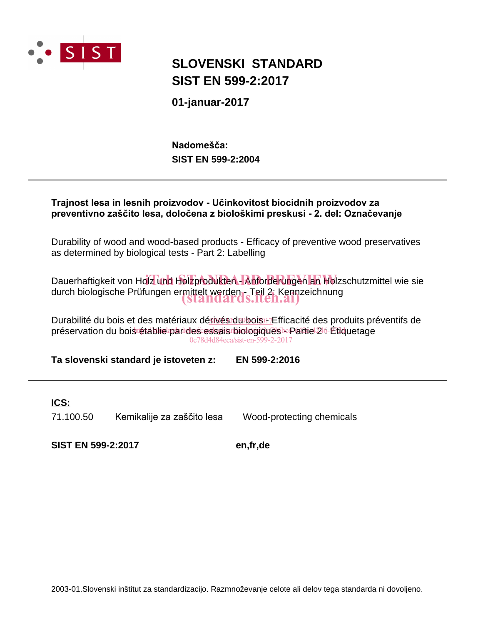

## **SIST EN 599-2:2017 SLOVENSKI STANDARD**

**01-januar-2017**

**SIST EN 599-2:2004** Nadomešča:



Durability of wood and wood-based products - Efficacy of preventive wood preservatives as determined by biological tests - Part 2: Labelling

Dauerhaftigkeit von Holz und Holzprodukten - Anforderungen an Holzschutzmittel wie sie durch biologische Prüfungen ermittelt werden - Teil 2: Kennzeichnung (standards.iteh.ai)

Durabilité du bois et des matériaux dérivés du bois + Efficacité des produits préventifs de préservation du bois tétablie par des essais biologiques - Partie 24-Étiquetage 0c78d4d84eca/sist-en-599-2-2017

**Ta slovenski standard je istoveten z: EN 599-2:2016**

## **ICS:**

71.100.50 Kemikalije za zaščito lesa Wood-protecting chemicals

**SIST EN 599-2:2017 en,fr,de**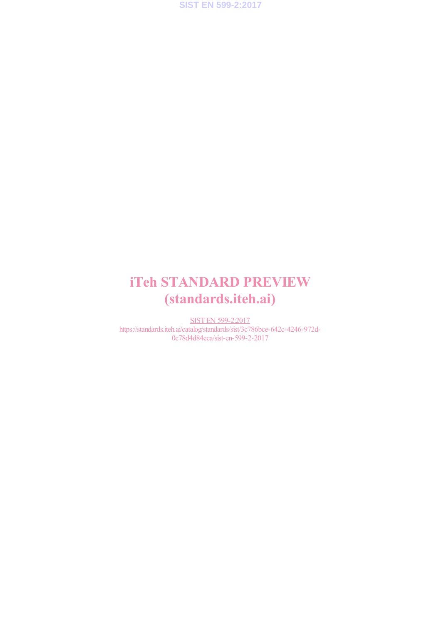**SIST EN 599-2:2017**

## iTeh STANDARD PREVIEW (standards.iteh.ai)

SIST EN 599-2:2017 https://standards.iteh.ai/catalog/standards/sist/3c786bce-642c-4246-972d-0c78d4d84eca/sist-en-599-2-2017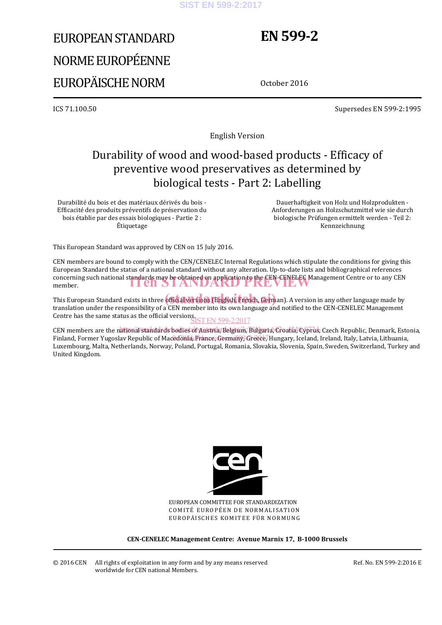#### **SIST EN 599-2:2017**

# EUROPEAN STANDARD NORME EUROPÉENNE EUROPÄISCHE NORM

## **EN 599-2**

October 2016

ICS 71.100.50 Supersedes EN 599-2:1995

English Version

## Durability of wood and wood-based products - Efficacy of preventive wood preservatives as determined by biological tests - Part 2: Labelling

Durabilité du bois et des matériaux dérivés du bois - Efficacité des produits préventifs de préservation du bois établie par des essais biologiques - Partie 2 : Étiquetage

 Dauerhaftigkeit von Holz und Holzprodukten - Anforderungen an Holzschutzmittel wie sie durch biologische Prüfungen ermittelt werden - Teil 2: Kennzeichnung

This European Standard was approved by CEN on 15 July 2016.

CEN members are bound to comply with the CEN/CENELEC Internal Regulations which stipulate the conditions for giving this European Standard the status of a national standard without any alteration. Up-to-date lists and bibliographical references concerning such national standards may be obtained on application to the CEN-CENELEC Management Centre or to any CEN member. member.

This European Standard exists in three **official versions (English, French, Germ**an). A version in any other language made by translation under the responsibility of a CEN member into its own language and notified to the CEN-CENELEC Management Centre has the same status as the official versions. SIST EN 599-2:2017

CEN members are the national standards bodies of Austria, Belgium, Bulgaria, Croatia, Cyprus, Czech Republic, Denmark, Estonia, Finland, Former Yugoslav Republic of Macedonia, France, Germany, Greece, Hungary, Iceland, Ireland, Italy, Latvia, Lithuania, Luxembourg, Malta, Netherlands, Norway, Poland, Portugal, Romania, Slovakia, Slovenia, Spain, Sweden, Switzerland, Turkey and United Kingdom.



EUROPEAN COMMITTEE FOR STANDARDIZATION COMITÉ EUROPÉEN DE NORMALISATION EUROPÄISCHES KOMITEE FÜR NORMUNG

**CEN-CENELEC Management Centre: Avenue Marnix 17, B-1000 Brussels** 

© 2016 CEN All rights of exploitation in any form and by any means reserved worldwide for CEN national Members.

Ref. No. EN 599-2:2016 E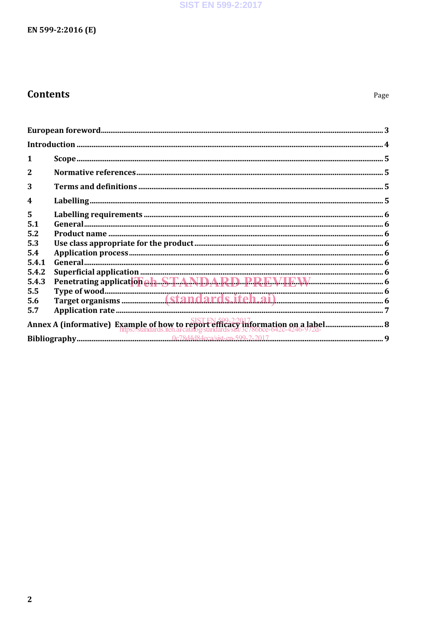### **SIST EN 599-2:2017**

## EN 599-2:2016 (E)

## **Contents**

Page

| $\mathbf{2}$     |  |
|------------------|--|
| 3                |  |
| $\boldsymbol{4}$ |  |
| 5                |  |
| 5.1              |  |
| 5.2              |  |
| 5.3              |  |
| 5.4              |  |
| 5.4.1            |  |
| 5.4.2            |  |
| 5.4.3            |  |
| 5.5              |  |
| 5.6              |  |
| 5.7              |  |
|                  |  |
|                  |  |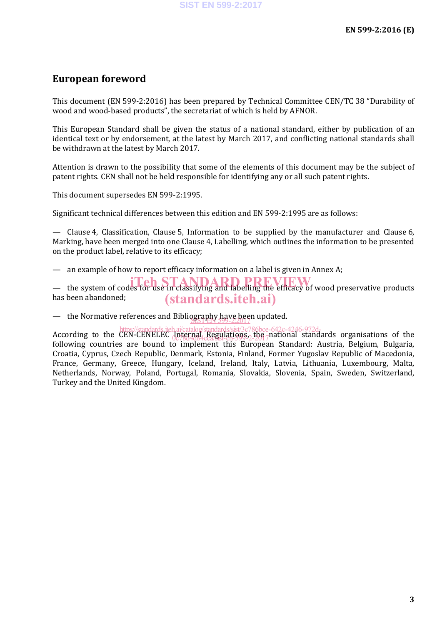## **European foreword**

This document (EN 599-2:2016) has been prepared by Technical Committee CEN/TC 38 "Durability of wood and wood-based products", the secretariat of which is held by AFNOR.

This European Standard shall be given the status of a national standard, either by publication of an identical text or by endorsement, at the latest by March 2017, and conflicting national standards shall be withdrawn at the latest by March 2017.

Attention is drawn to the possibility that some of the elements of this document may be the subject of patent rights. CEN shall not be held responsible for identifying any or all such patent rights.

This document supersedes EN 599-2:1995.

Significant technical differences between this edition and EN 599-2:1995 are as follows:

— Clause 4, Classification, Clause 5, Information to be supplied by the manufacturer and Clause 6, Marking, have been merged into one Clause 4, Labelling, which outlines the information to be presented on the product label, relative to its efficacy;

— an example of how to report efficacy information on a label is given in Annex A;

— the system of codes for use in classifying and labelling the efficacy of wood preservative products has been abandoned; (standards.iteh.ai)

— the Normative references and Bibliography have been updated.

According to the CEN-CENELEC Internal Regulations, the national standards organisations of the following countries are bound to implement this European Standard: Austria, Belgium, Bulgaria, Croatia, Cyprus, Czech Republic, Denmark, Estonia, Finland, Former Yugoslav Republic of Macedonia, France, Germany, Greece, Hungary, Iceland, Ireland, Italy, Latvia, Lithuania, Luxembourg, Malta, Netherlands, Norway, Poland, Portugal, Romania, Slovakia, Slovenia, Spain, Sweden, Switzerland, Turkey and the United Kingdom. https://standards.iteh.ai/catalog/standards/sist/3c786bce-642c-4246-972d-0c78d4d84eca/sist-en-599-2-2017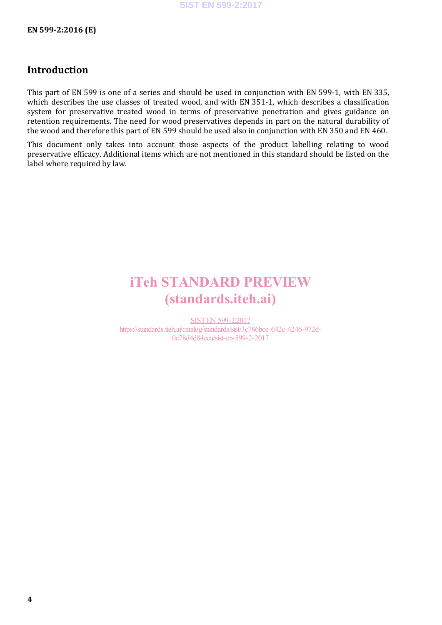## **Introduction**

This part of EN 599 is one of a series and should be used in conjunction with EN 599-1, with EN 335, which describes the use classes of treated wood, and with EN 351-1, which describes a classification system for preservative treated wood in terms of preservative penetration and gives guidance on retention requirements. The need for wood preservatives depends in part on the natural durability of the wood and therefore this part of EN 599 should be used also in conjunction with EN 350 and EN 460.

This document only takes into account those aspects of the product labelling relating to wood preservative efficacy. Additional items which are not mentioned in this standard should be listed on the label where required by law.

## iTeh STANDARD PREVIEW (standards.iteh.ai)

SIST EN 599-2:2017 https://standards.iteh.ai/catalog/standards/sist/3c786bce-642c-4246-972d-0c78d4d84eca/sist-en-599-2-2017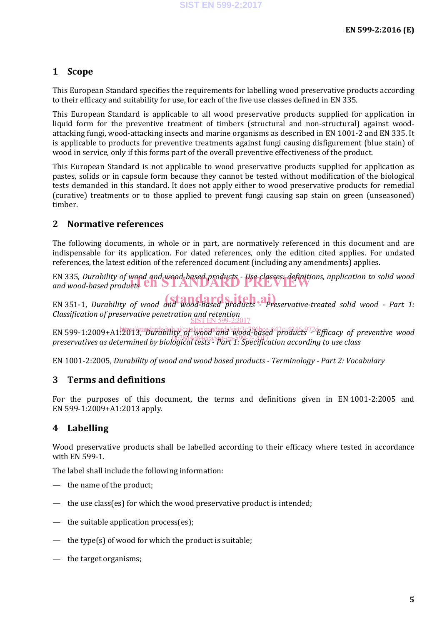## **1 Scope**

This European Standard specifies the requirements for labelling wood preservative products according to their efficacy and suitability for use, for each of the five use classes defined in EN 335.

This European Standard is applicable to all wood preservative products supplied for application in liquid form for the preventive treatment of timbers (structural and non-structural) against woodattacking fungi, wood-attacking insects and marine organisms as described in EN 1001-2 and EN 335. It is applicable to products for preventive treatments against fungi causing disfigurement (blue stain) of wood in service, only if this forms part of the overall preventive effectiveness of the product.

This European Standard is not applicable to wood preservative products supplied for application as pastes, solids or in capsule form because they cannot be tested without modification of the biological tests demanded in this standard. It does not apply either to wood preservative products for remedial (curative) treatments or to those applied to prevent fungi causing sap stain on green (unseasoned) timber.

### **2 Normative references**

The following documents, in whole or in part, are normatively referenced in this document and are indispensable for its application. For dated references, only the edition cited applies. For undated references, the latest edition of the referenced document (including any amendments) applies.

EN 335, *Durability of wood and wood-based products - Use classes: definitions, application to solid wood*  EN 335, Durability of wood and wood-based products - Use classes: definition<br>and wood-based products **CIT**STANDARD PREVIEW

EN 351-1, *Durability of wood and wood-based products* - *Preservative-treated solid wood - Part 1: Classification of preservative penetration and retention* SIST EN 599-2:2017

EN 599-1:2009+A1<sup>1</sup>201/3taplardsinkai/catalog/standards/sist/3c6386bce-642c-6372d-fficacy of preventive wood preservatives as determined by biological tests - Part 1: Specification according to use class

EN 1001-2:2005, *Durability of wood and wood based products - Terminology - Part 2: Vocabulary*

### **3 Terms and definitions**

For the purposes of this document, the terms and definitions given in EN 1001-2:2005 and EN 599-1:2009+A1:2013 apply.

## **4 Labelling**

Wood preservative products shall be labelled according to their efficacy where tested in accordance with EN 599-1.

The label shall include the following information:

- the name of the product;
- the use class(es) for which the wood preservative product is intended;
- the suitable application process(es);
- the type(s) of wood for which the product is suitable;
- the target organisms;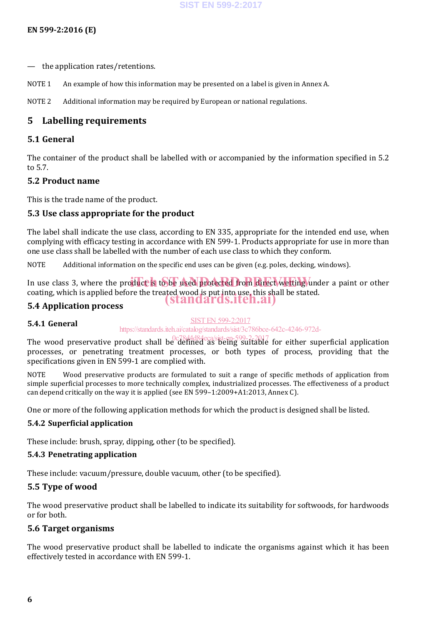- the application rates/retentions.
- NOTE 1 An example of how this information may be presented on a label is given in Annex A.

NOTE 2 Additional information may be required by European or national regulations.

### **5 Labelling requirements**

#### **5.1 General**

The container of the product shall be labelled with or accompanied by the information specified in 5.2 to 5.7.

#### **5.2 Product name**

This is the trade name of the product.

### **5.3 Use class appropriate for the product**

The label shall indicate the use class, according to EN 335, appropriate for the intended end use, when complying with efficacy testing in accordance with EN 599-1. Products appropriate for use in more than one use class shall be labelled with the number of each use class to which they conform.

NOTE Additional information on the specific end uses can be given (e.g. poles, decking, windows).

In use class 3, where the product is to be used protected from direct wetting under a paint or other coating, which is applied before the treated wood is put into use, this shall be stated. (standards.iteh.ai)

### **5.4 Application process**

#### **5.4.1 General**

#### SIST EN 599-2:2017

https://standards.iteh.ai/catalog/standards/sist/3c786bce-642c-4246-972d-

The wood preservative product shall be defined as being suitable for either superficial application processes, or penetrating treatment processes, or both types of process, providing that the specifications given in EN 599-1 are complied with.

NOTE Wood preservative products are formulated to suit a range of specific methods of application from simple superficial processes to more technically complex, industrialized processes. The effectiveness of a product can depend critically on the way it is applied (see EN 599–1:2009+A1:2013, Annex C).

One or more of the following application methods for which the product is designed shall be listed.

#### **5.4.2 Superficial application**

These include: brush, spray, dipping, other (to be specified).

#### **5.4.3 Penetrating application**

These include: vacuum/pressure, double vacuum, other (to be specified).

#### **5.5 Type of wood**

The wood preservative product shall be labelled to indicate its suitability for softwoods, for hardwoods or for both.

#### **5.6 Target organisms**

The wood preservative product shall be labelled to indicate the organisms against which it has been effectively tested in accordance with EN 599-1.